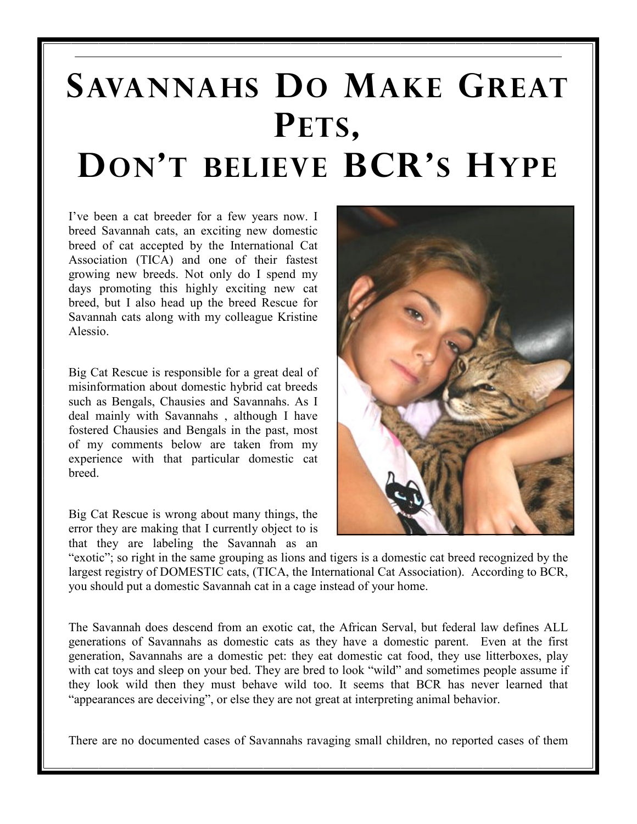## SAVANNAHS DO MAKE GREAT PETS, DON'T BELIEVE BCR'S HYPE

I've been a cat breeder for a few years now. I breed Savannah cats, an exciting new domestic breed of cat accepted by the International Cat Association (TICA) and one of their fastest growing new breeds. Not only do I spend my days promoting this highly exciting new cat breed, but I also head up the breed Rescue for Savannah cats along with my colleague Kristine Alessio.

Big Cat Rescue is responsible for a great deal of misinformation about domestic hybrid cat breeds such as Bengals, Chausies and Savannahs. As I deal mainly with Savannahs , although I have fostered Chausies and Bengals in the past, most of my comments below are taken from my experience with that particular domestic cat breed.

Big Cat Rescue is wrong about many things, the error they are making that I currently object to is that they are labeling the Savannah as an



"exotic"; so right in the same grouping as lions and tigers is a domestic cat breed recognized by the largest registry of DOMESTIC cats, (TICA, the International Cat Association). According to BCR, you should put a domestic Savannah cat in a cage instead of your home.

The Savannah does descend from an exotic cat, the African Serval, but federal law defines ALL generations of Savannahs as domestic cats as they have a domestic parent. Even at the first generation, Savannahs are a domestic pet: they eat domestic cat food, they use litterboxes, play with cat toys and sleep on your bed. They are bred to look "wild" and sometimes people assume if they look wild then they must behave wild too. It seems that BCR has never learned that "appearances are deceiving", or else they are not great at interpreting animal behavior.

There are no documented cases of Savannahs ravaging small children, no reported cases of them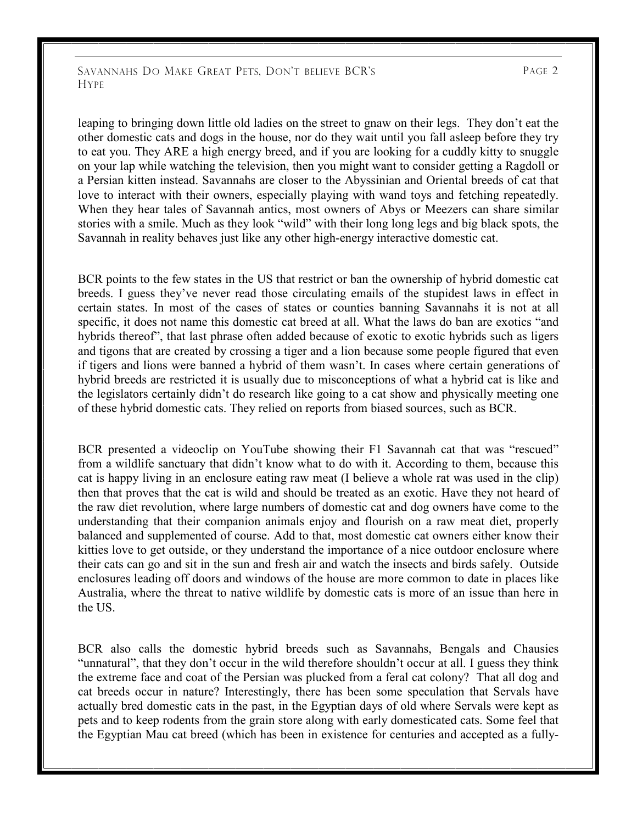SAVANNAHS DO MAKE GREAT PETS, DON'T BELIEVE BCR'S PAGE 2 **HYPE** 

leaping to bringing down little old ladies on the street to gnaw on their legs. They don't eat the other domestic cats and dogs in the house, nor do they wait until you fall asleep before they try to eat you. They ARE a high energy breed, and if you are looking for a cuddly kitty to snuggle on your lap while watching the television, then you might want to consider getting a Ragdoll or a Persian kitten instead. Savannahs are closer to the Abyssinian and Oriental breeds of cat that love to interact with their owners, especially playing with wand toys and fetching repeatedly. When they hear tales of Savannah antics, most owners of Abys or Meezers can share similar stories with a smile. Much as they look "wild" with their long long legs and big black spots, the Savannah in reality behaves just like any other high-energy interactive domestic cat.

BCR points to the few states in the US that restrict or ban the ownership of hybrid domestic cat breeds. I guess they've never read those circulating emails of the stupidest laws in effect in certain states. In most of the cases of states or counties banning Savannahs it is not at all specific, it does not name this domestic cat breed at all. What the laws do ban are exotics "and hybrids thereof", that last phrase often added because of exotic to exotic hybrids such as ligers and tigons that are created by crossing a tiger and a lion because some people figured that even if tigers and lions were banned a hybrid of them wasn't. In cases where certain generations of hybrid breeds are restricted it is usually due to misconceptions of what a hybrid cat is like and the legislators certainly didn't do research like going to a cat show and physically meeting one of these hybrid domestic cats. They relied on reports from biased sources, such as BCR.

BCR presented a videoclip on YouTube showing their F1 Savannah cat that was "rescued" from a wildlife sanctuary that didn't know what to do with it. According to them, because this cat is happy living in an enclosure eating raw meat (I believe a whole rat was used in the clip) then that proves that the cat is wild and should be treated as an exotic. Have they not heard of the raw diet revolution, where large numbers of domestic cat and dog owners have come to the understanding that their companion animals enjoy and flourish on a raw meat diet, properly balanced and supplemented of course. Add to that, most domestic cat owners either know their kitties love to get outside, or they understand the importance of a nice outdoor enclosure where their cats can go and sit in the sun and fresh air and watch the insects and birds safely. Outside enclosures leading off doors and windows of the house are more common to date in places like Australia, where the threat to native wildlife by domestic cats is more of an issue than here in the US.

BCR also calls the domestic hybrid breeds such as Savannahs, Bengals and Chausies "unnatural", that they don't occur in the wild therefore shouldn't occur at all. I guess they think the extreme face and coat of the Persian was plucked from a feral cat colony? That all dog and cat breeds occur in nature? Interestingly, there has been some speculation that Servals have actually bred domestic cats in the past, in the Egyptian days of old where Servals were kept as pets and to keep rodents from the grain store along with early domesticated cats. Some feel that the Egyptian Mau cat breed (which has been in existence for centuries and accepted as a fully-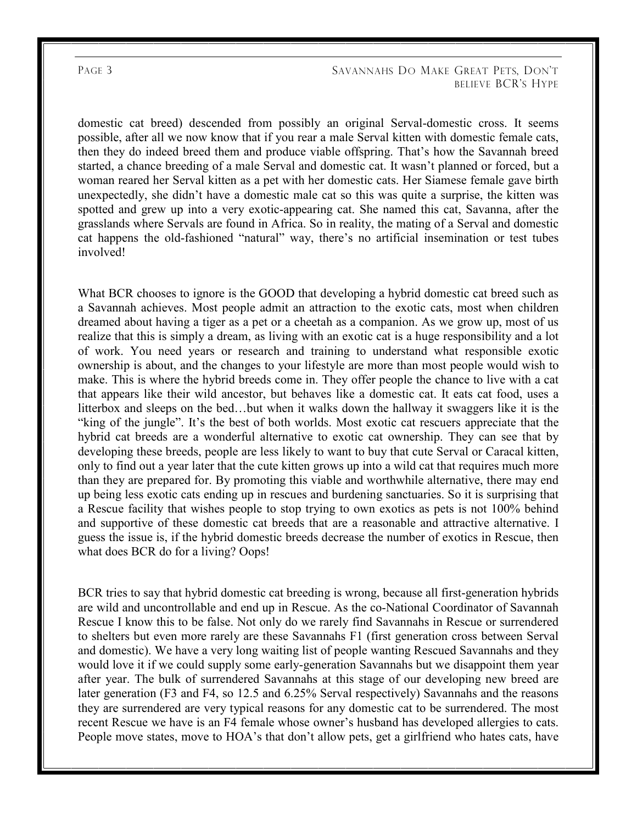## PAGE 3 SAVANNAHS DO MAKE GREAT PETS, DON'T BELIEVE BCR'S HYPE

domestic cat breed) descended from possibly an original Serval-domestic cross. It seems possible, after all we now know that if you rear a male Serval kitten with domestic female cats, then they do indeed breed them and produce viable offspring. That's how the Savannah breed started, a chance breeding of a male Serval and domestic cat. It wasn't planned or forced, but a woman reared her Serval kitten as a pet with her domestic cats. Her Siamese female gave birth unexpectedly, she didn't have a domestic male cat so this was quite a surprise, the kitten was spotted and grew up into a very exotic-appearing cat. She named this cat, Savanna, after the grasslands where Servals are found in Africa. So in reality, the mating of a Serval and domestic cat happens the old-fashioned "natural" way, there's no artificial insemination or test tubes involved!

What BCR chooses to ignore is the GOOD that developing a hybrid domestic cat breed such as a Savannah achieves. Most people admit an attraction to the exotic cats, most when children dreamed about having a tiger as a pet or a cheetah as a companion. As we grow up, most of us realize that this is simply a dream, as living with an exotic cat is a huge responsibility and a lot of work. You need years or research and training to understand what responsible exotic ownership is about, and the changes to your lifestyle are more than most people would wish to make. This is where the hybrid breeds come in. They offer people the chance to live with a cat that appears like their wild ancestor, but behaves like a domestic cat. It eats cat food, uses a litterbox and sleeps on the bed…but when it walks down the hallway it swaggers like it is the "king of the jungle". It's the best of both worlds. Most exotic cat rescuers appreciate that the hybrid cat breeds are a wonderful alternative to exotic cat ownership. They can see that by developing these breeds, people are less likely to want to buy that cute Serval or Caracal kitten, only to find out a year later that the cute kitten grows up into a wild cat that requires much more than they are prepared for. By promoting this viable and worthwhile alternative, there may end up being less exotic cats ending up in rescues and burdening sanctuaries. So it is surprising that a Rescue facility that wishes people to stop trying to own exotics as pets is not 100% behind and supportive of these domestic cat breeds that are a reasonable and attractive alternative. I guess the issue is, if the hybrid domestic breeds decrease the number of exotics in Rescue, then what does BCR do for a living? Oops!

BCR tries to say that hybrid domestic cat breeding is wrong, because all first-generation hybrids are wild and uncontrollable and end up in Rescue. As the co-National Coordinator of Savannah Rescue I know this to be false. Not only do we rarely find Savannahs in Rescue or surrendered to shelters but even more rarely are these Savannahs F1 (first generation cross between Serval and domestic). We have a very long waiting list of people wanting Rescued Savannahs and they would love it if we could supply some early-generation Savannahs but we disappoint them year after year. The bulk of surrendered Savannahs at this stage of our developing new breed are later generation (F3 and F4, so 12.5 and 6.25% Serval respectively) Savannahs and the reasons they are surrendered are very typical reasons for any domestic cat to be surrendered. The most recent Rescue we have is an F4 female whose owner's husband has developed allergies to cats. People move states, move to HOA's that don't allow pets, get a girlfriend who hates cats, have